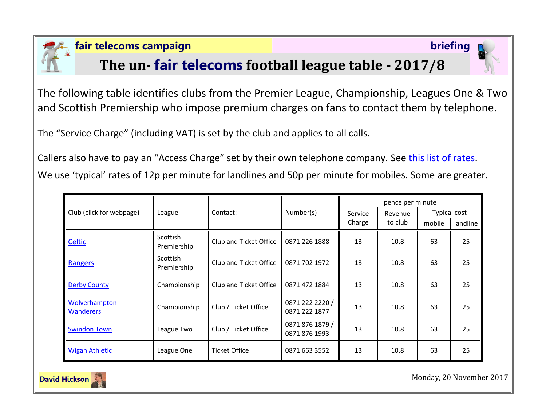

### **fair telecoms campaign briefing**

## **The un- fair telecoms football league table - 2017/8**



The following table identifies clubs from the Premier League, Championship, Leagues One & Two and Scottish Premiership who impose premium charges on fans to contact them by telephone.

The "Service Charge" (including VAT) is set by the club and applies to all calls.

Callers also have to pay an "Access Charge" set by their own telephone company. See [this list of rates.](http://www.saynoto0870.com/costofcalling.php) We use 'typical' rates of 12p per minute for landlines and 50p per minute for mobiles. Some are greater.

| Club (click for webpage)          | League                  | Contact:               | Number(s)                        | pence per minute  |                    |                     |          |
|-----------------------------------|-------------------------|------------------------|----------------------------------|-------------------|--------------------|---------------------|----------|
|                                   |                         |                        |                                  | Service<br>Charge | Revenue<br>to club | <b>Typical cost</b> |          |
|                                   |                         |                        |                                  |                   |                    | mobile              | landline |
| Celtic                            | Scottish<br>Premiership | Club and Ticket Office | 0871 226 1888                    | 13                | 10.8               | 63                  | 25       |
| Rangers                           | Scottish<br>Premiership | Club and Ticket Office | 0871 702 1972                    | 13                | 10.8               | 63                  | 25       |
| <b>Derby County</b>               | Championship            | Club and Ticket Office | 0871 472 1884                    | 13                | 10.8               | 63                  | 25       |
| Wolverhampton<br><b>Wanderers</b> | Championship            | Club / Ticket Office   | 0871 222 2220 /<br>0871 222 1877 | 13                | 10.8               | 63                  | 25       |
| <b>Swindon Town</b>               | League Two              | Club / Ticket Office   | 0871 876 1879 /<br>0871 876 1993 | 13                | 10.8               | 63                  | 25       |
| <b>Wigan Athletic</b>             | League One              | <b>Ticket Office</b>   | 0871 663 3552                    | 13                | 10.8               | 63                  | 25       |



Monday, 20 November 2017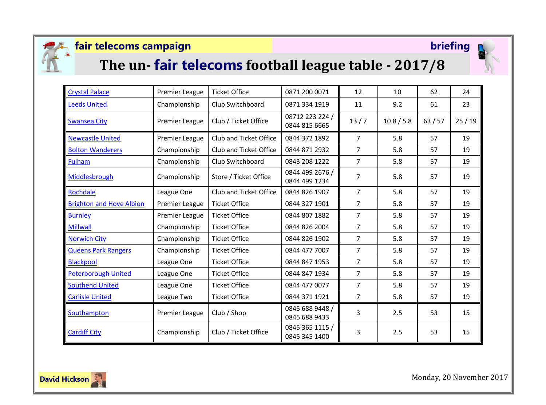

### **fair telecoms campaign briefing**



# **The un- fair telecoms football league table - 2017/8**



| <b>Crystal Palace</b>           | Premier League        | <b>Ticket Office</b>   | 0871 200 0071                    | 12             | 10         | 62    | 24    |
|---------------------------------|-----------------------|------------------------|----------------------------------|----------------|------------|-------|-------|
| <b>Leeds United</b>             | Championship          | Club Switchboard       | 0871 334 1919                    | 11             | 9.2        | 61    | 23    |
| <b>Swansea City</b>             | <b>Premier League</b> | Club / Ticket Office   | 08712 223 224 /<br>0844 815 6665 | 13/7           | 10.8 / 5.8 | 63/57 | 25/19 |
| <b>Newcastle United</b>         | Premier League        | Club and Ticket Office | 0844 372 1892                    | $\overline{7}$ | 5.8        | 57    | 19    |
| <b>Bolton Wanderers</b>         | Championship          | Club and Ticket Office | 0844 871 2932                    | $\overline{7}$ | 5.8        | 57    | 19    |
| <b>Fulham</b>                   | Championship          | Club Switchboard       | 0843 208 1222                    | $\overline{7}$ | 5.8        | 57    | 19    |
| Middlesbrough                   | Championship          | Store / Ticket Office  | 0844 499 2676 /<br>0844 499 1234 | $\overline{7}$ | 5.8        | 57    | 19    |
| Rochdale                        | League One            | Club and Ticket Office | 0844 826 1907                    | $\overline{7}$ | 5.8        | 57    | 19    |
| <b>Brighton and Hove Albion</b> | Premier League        | <b>Ticket Office</b>   | 0844 327 1901                    | $\overline{7}$ | 5.8        | 57    | 19    |
| <b>Burnley</b>                  | <b>Premier League</b> | <b>Ticket Office</b>   | 0844 807 1882                    | $\overline{7}$ | 5.8        | 57    | 19    |
| <b>Millwall</b>                 | Championship          | <b>Ticket Office</b>   | 0844 826 2004                    | $\overline{7}$ | 5.8        | 57    | 19    |
| <b>Norwich City</b>             | Championship          | <b>Ticket Office</b>   | 0844 826 1902                    | $\overline{7}$ | 5.8        | 57    | 19    |
| <b>Queens Park Rangers</b>      | Championship          | <b>Ticket Office</b>   | 0844 477 7007                    | $\overline{7}$ | 5.8        | 57    | 19    |
| <b>Blackpool</b>                | League One            | <b>Ticket Office</b>   | 0844 847 1953                    | $\overline{7}$ | 5.8        | 57    | 19    |
| <b>Peterborough United</b>      | League One            | <b>Ticket Office</b>   | 0844 847 1934                    | $\overline{7}$ | 5.8        | 57    | 19    |
| <b>Southend United</b>          | League One            | <b>Ticket Office</b>   | 0844 477 0077                    | $\overline{7}$ | 5.8        | 57    | 19    |
| <b>Carlisle United</b>          | League Two            | <b>Ticket Office</b>   | 0844 371 1921                    | $\overline{7}$ | 5.8        | 57    | 19    |
| Southampton                     | <b>Premier League</b> | Club / Shop            | 0845 688 9448 /<br>0845 688 9433 | 3              | 2.5        | 53    | 15    |
| <b>Cardiff City</b>             | Championship          | Club / Ticket Office   | 0845 365 1115 /<br>0845 345 1400 | 3              | 2.5        | 53    | 15    |



Monday, 20 November 2017